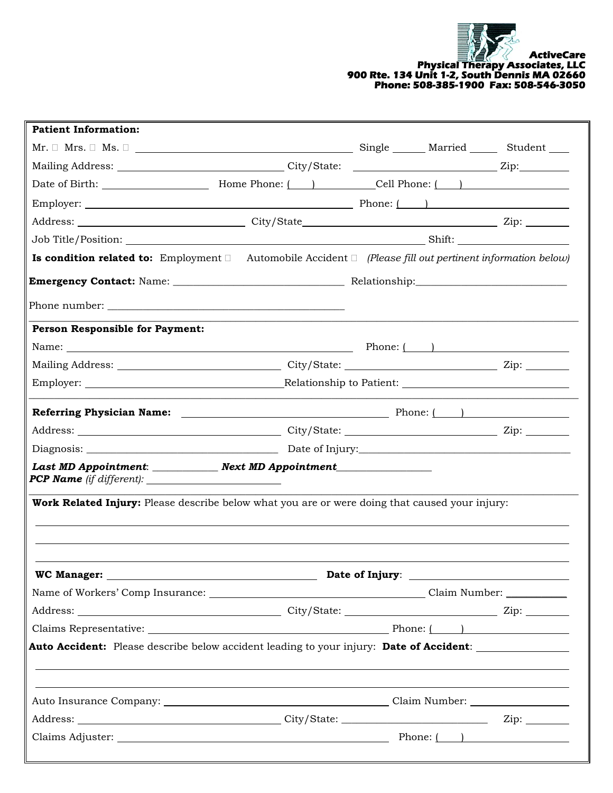

| <b>Patient Information:</b>                                                                                                                                                                                                                                                                          |                                                                                  |  |  |
|------------------------------------------------------------------------------------------------------------------------------------------------------------------------------------------------------------------------------------------------------------------------------------------------------|----------------------------------------------------------------------------------|--|--|
| $\text{Mr.}\;\square\;\text{Mrs.}\;\square\;\underline{\hspace{1cm}}\qquad \qquad \qquad \qquad \qquad \qquad \qquad \qquad \qquad \text{Single}\;\underline{\hspace{1cm}}\qquad \qquad \text{Married}\;\underline{\hspace{1cm}}\qquad \qquad \text{Student}\;\underline{\hspace{1cm}}\qquad \qquad$ |                                                                                  |  |  |
|                                                                                                                                                                                                                                                                                                      |                                                                                  |  |  |
|                                                                                                                                                                                                                                                                                                      |                                                                                  |  |  |
|                                                                                                                                                                                                                                                                                                      |                                                                                  |  |  |
|                                                                                                                                                                                                                                                                                                      |                                                                                  |  |  |
|                                                                                                                                                                                                                                                                                                      |                                                                                  |  |  |
| <b>Is condition related to:</b> Employment $\Box$ Automobile Accident $\Box$ (Please fill out pertinent information below)                                                                                                                                                                           |                                                                                  |  |  |
|                                                                                                                                                                                                                                                                                                      |                                                                                  |  |  |
|                                                                                                                                                                                                                                                                                                      |                                                                                  |  |  |
| <b>Person Responsible for Payment:</b>                                                                                                                                                                                                                                                               |                                                                                  |  |  |
| Name: $\_\_\_\_\_\_\_\_$ Phone: $\_\_\_\_\_\_\_\_\_$                                                                                                                                                                                                                                                 |                                                                                  |  |  |
|                                                                                                                                                                                                                                                                                                      |                                                                                  |  |  |
|                                                                                                                                                                                                                                                                                                      |                                                                                  |  |  |
|                                                                                                                                                                                                                                                                                                      |                                                                                  |  |  |
|                                                                                                                                                                                                                                                                                                      |                                                                                  |  |  |
|                                                                                                                                                                                                                                                                                                      |                                                                                  |  |  |
| Last MD Appointment: Next MD Appointment                                                                                                                                                                                                                                                             |                                                                                  |  |  |
| <b>Work Related Injury:</b> Please describe below what you are or were doing that caused your injury:                                                                                                                                                                                                |                                                                                  |  |  |
|                                                                                                                                                                                                                                                                                                      |                                                                                  |  |  |
|                                                                                                                                                                                                                                                                                                      |                                                                                  |  |  |
|                                                                                                                                                                                                                                                                                                      |                                                                                  |  |  |
|                                                                                                                                                                                                                                                                                                      |                                                                                  |  |  |
|                                                                                                                                                                                                                                                                                                      |                                                                                  |  |  |
| Auto Accident: Please describe below accident leading to your injury: Date of Accident:                                                                                                                                                                                                              | ,我们也不会有什么。""我们的人,我们也不会有什么?""我们的人,我们也不会有什么?""我们的人,我们也不会有什么?""我们的人,我们也不会有什么?""我们的人 |  |  |
|                                                                                                                                                                                                                                                                                                      |                                                                                  |  |  |
|                                                                                                                                                                                                                                                                                                      |                                                                                  |  |  |
|                                                                                                                                                                                                                                                                                                      |                                                                                  |  |  |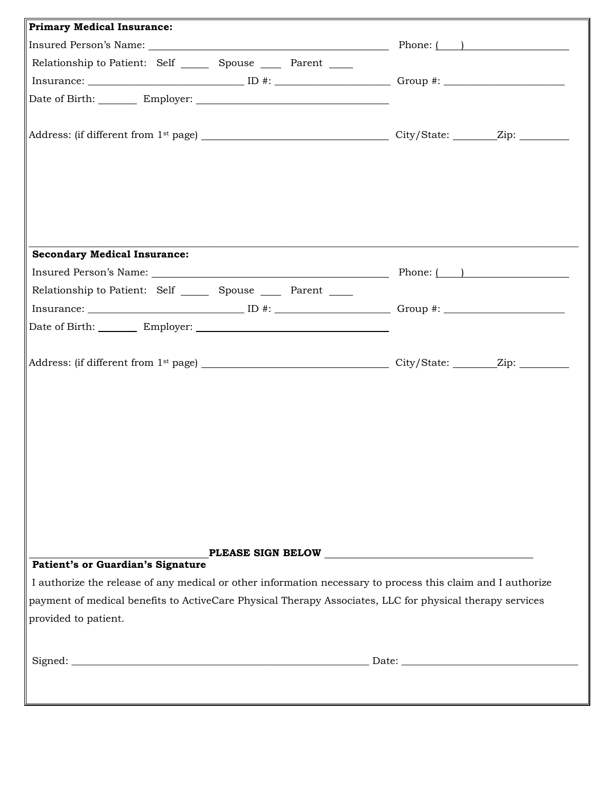| <b>Primary Medical Insurance:</b>                                                                                                                                                                                                                                     |  |
|-----------------------------------------------------------------------------------------------------------------------------------------------------------------------------------------------------------------------------------------------------------------------|--|
|                                                                                                                                                                                                                                                                       |  |
| Relationship to Patient: Self ________ Spouse _______ Parent ______                                                                                                                                                                                                   |  |
|                                                                                                                                                                                                                                                                       |  |
|                                                                                                                                                                                                                                                                       |  |
|                                                                                                                                                                                                                                                                       |  |
| <b>Secondary Medical Insurance:</b><br>Insured Person's Name: 1997 Manual Phone: 1997 Manual Phone: 1998 Manual Phone: 1998 Manual Phone: 1998 Manual Phone: 1998 Manual Phone: 1999 Manual Phone: 1999 Manual Phone: 1999 Manual Phone: 1999 Manual Phone: 1999 Manu |  |
| Relationship to Patient: Self ________ Spouse _______ Parent ______                                                                                                                                                                                                   |  |
|                                                                                                                                                                                                                                                                       |  |
| Date of Birth: Employer: Charles Contains a Date of Birth:                                                                                                                                                                                                            |  |
|                                                                                                                                                                                                                                                                       |  |
| Patient's or Guardian's Signature                                                                                                                                                                                                                                     |  |
| I authorize the release of any medical or other information necessary to process this claim and I authorize<br>payment of medical benefits to ActiveCare Physical Therapy Associates, LLC for physical therapy services<br>provided to patient.                       |  |
|                                                                                                                                                                                                                                                                       |  |
|                                                                                                                                                                                                                                                                       |  |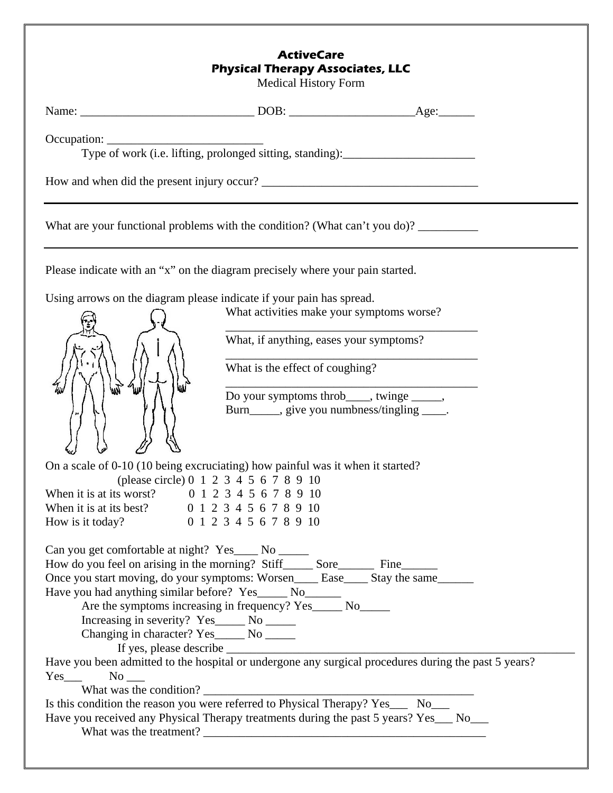## **ActiveCare Physical Therapy Associates, LLC**

Medical History Form

| Occupation:                                                                                                                                  | Type of work (i.e. lifting, prolonged sitting, standing): _______________________           |                                                                                                      |
|----------------------------------------------------------------------------------------------------------------------------------------------|---------------------------------------------------------------------------------------------|------------------------------------------------------------------------------------------------------|
|                                                                                                                                              |                                                                                             |                                                                                                      |
| What are your functional problems with the condition? (What can't you do)? ___________                                                       |                                                                                             |                                                                                                      |
| Please indicate with an "x" on the diagram precisely where your pain started.                                                                |                                                                                             |                                                                                                      |
| Using arrows on the diagram please indicate if your pain has spread.                                                                         |                                                                                             |                                                                                                      |
|                                                                                                                                              | What activities make your symptoms worse?                                                   |                                                                                                      |
|                                                                                                                                              | What, if anything, eases your symptoms?                                                     |                                                                                                      |
|                                                                                                                                              | What is the effect of coughing?                                                             |                                                                                                      |
|                                                                                                                                              |                                                                                             |                                                                                                      |
|                                                                                                                                              | Do your symptoms throb_____, twinge ______,<br>Burn_____, give you numbness/tingling _____. |                                                                                                      |
| On a scale of 0-10 (10 being excruciating) how painful was it when it started?                                                               |                                                                                             |                                                                                                      |
|                                                                                                                                              | (please circle) 0 1 2 3 4 5 6 7 8 9 10                                                      |                                                                                                      |
| When it is at its worst? 0 1 2 3 4 5 6 7 8 9 10                                                                                              |                                                                                             |                                                                                                      |
| When it is at its best? 0 1 2 3 4 5 6 7 8 9 10<br>How is it today? 0 1 2 3 4 5 6 7 8 9 10                                                    |                                                                                             |                                                                                                      |
|                                                                                                                                              |                                                                                             |                                                                                                      |
| Can you get comfortable at night? Yes____ No _____<br>How do you feel on arising in the morning? Stiff________ Sore___________ Fine_________ |                                                                                             |                                                                                                      |
| Once you start moving, do your symptoms: Worsen____ Ease____ Stay the same______                                                             |                                                                                             |                                                                                                      |
| Have you had anything similar before? Yes______ No_______                                                                                    |                                                                                             |                                                                                                      |
|                                                                                                                                              | Are the symptoms increasing in frequency? Yes______ No______                                |                                                                                                      |
| Increasing in severity? Yes_____ No _____<br>Changing in character? Yes______ No ______                                                      |                                                                                             |                                                                                                      |
|                                                                                                                                              |                                                                                             |                                                                                                      |
|                                                                                                                                              |                                                                                             | Have you been admitted to the hospital or undergone any surgical procedures during the past 5 years? |
| $Yes$ No $\Box$                                                                                                                              |                                                                                             |                                                                                                      |
|                                                                                                                                              |                                                                                             |                                                                                                      |

Is this condition the reason you were referred to Physical Therapy? Yes\_\_\_ No\_\_\_

Have you received any Physical Therapy treatments during the past 5 years? Yes\_\_\_ No\_\_\_ What was the treatment?